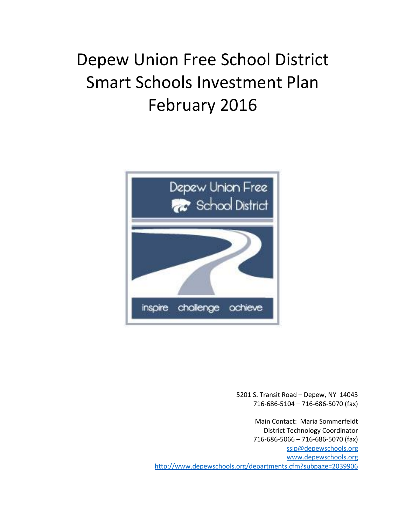# Depew Union Free School District Smart Schools Investment Plan February 2016



5201 S. Transit Road – Depew, NY 14043 716-686-5104 – 716-686-5070 (fax)

Main Contact: Maria Sommerfeldt District Technology Coordinator 716-686-5066 – 716-686-5070 (fax) [ssip@depewschools.org](mailto:ssip@depewschools.org) [www.depewschools.org](http://www.depewschools.org/) <http://www.depewschools.org/departments.cfm?subpage=2039906>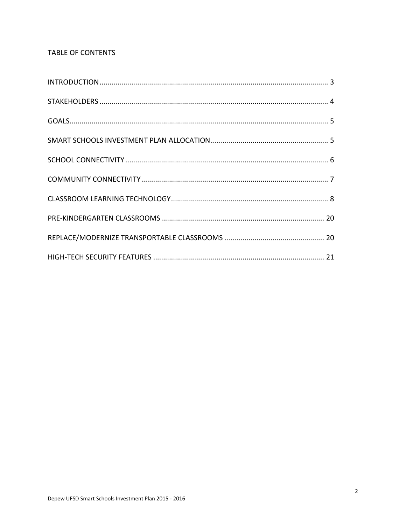# TABLE OF CONTENTS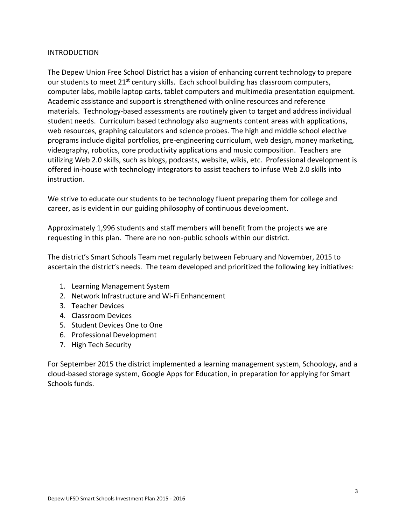#### INTRODUCTION

The Depew Union Free School District has a vision of enhancing current technology to prepare our students to meet  $21^{st}$  century skills. Each school building has classroom computers, computer labs, mobile laptop carts, tablet computers and multimedia presentation equipment. Academic assistance and support is strengthened with online resources and reference materials. Technology-based assessments are routinely given to target and address individual student needs. Curriculum based technology also augments content areas with applications, web resources, graphing calculators and science probes. The high and middle school elective programs include digital portfolios, pre-engineering curriculum, web design, money marketing, videography, robotics, core productivity applications and music composition. Teachers are utilizing Web 2.0 skills, such as blogs, podcasts, website, wikis, etc. Professional development is offered in-house with technology integrators to assist teachers to infuse Web 2.0 skills into instruction.

We strive to educate our students to be technology fluent preparing them for college and career, as is evident in our guiding philosophy of continuous development.

Approximately 1,996 students and staff members will benefit from the projects we are requesting in this plan. There are no non-public schools within our district.

The district's Smart Schools Team met regularly between February and November, 2015 to ascertain the district's needs. The team developed and prioritized the following key initiatives:

- 1. Learning Management System
- 2. Network Infrastructure and Wi-Fi Enhancement
- 3. Teacher Devices
- 4. Classroom Devices
- 5. Student Devices One to One
- 6. Professional Development
- 7. High Tech Security

For September 2015 the district implemented a learning management system, Schoology, and a cloud-based storage system, Google Apps for Education, in preparation for applying for Smart Schools funds.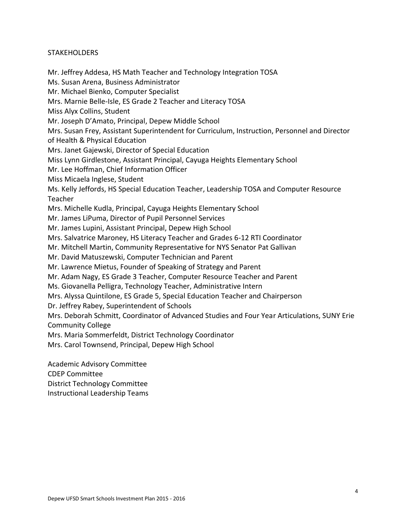#### **STAKEHOLDERS**

Mr. Jeffrey Addesa, HS Math Teacher and Technology Integration TOSA

Ms. Susan Arena, Business Administrator

Mr. Michael Bienko, Computer Specialist

Mrs. Marnie Belle-Isle, ES Grade 2 Teacher and Literacy TOSA

Miss Alyx Collins, Student

Mr. Joseph D'Amato, Principal, Depew Middle School

Mrs. Susan Frey, Assistant Superintendent for Curriculum, Instruction, Personnel and Director of Health & Physical Education

Mrs. Janet Gajewski, Director of Special Education

Miss Lynn Girdlestone, Assistant Principal, Cayuga Heights Elementary School

Mr. Lee Hoffman, Chief Information Officer

Miss Micaela Inglese, Student

Ms. Kelly Jeffords, HS Special Education Teacher, Leadership TOSA and Computer Resource Teacher

Mrs. Michelle Kudla, Principal, Cayuga Heights Elementary School

Mr. James LiPuma, Director of Pupil Personnel Services

Mr. James Lupini, Assistant Principal, Depew High School

Mrs. Salvatrice Maroney, HS Literacy Teacher and Grades 6-12 RTI Coordinator

Mr. Mitchell Martin, Community Representative for NYS Senator Pat Gallivan

Mr. David Matuszewski, Computer Technician and Parent

Mr. Lawrence Mietus, Founder of Speaking of Strategy and Parent

Mr. Adam Nagy, ES Grade 3 Teacher, Computer Resource Teacher and Parent

Ms. Giovanella Pelligra, Technology Teacher, Administrative Intern

Mrs. Alyssa Quintilone, ES Grade 5, Special Education Teacher and Chairperson

Dr. Jeffrey Rabey, Superintendent of Schools

Mrs. Deborah Schmitt, Coordinator of Advanced Studies and Four Year Articulations, SUNY Erie Community College

Mrs. Maria Sommerfeldt, District Technology Coordinator

Mrs. Carol Townsend, Principal, Depew High School

Academic Advisory Committee CDEP Committee District Technology Committee Instructional Leadership Teams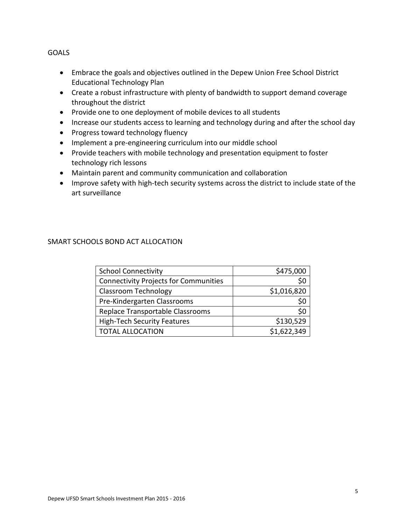GOALS

- Embrace the goals and objectives outlined in the Depew Union Free School District Educational Technology Plan
- Create a robust infrastructure with plenty of bandwidth to support demand coverage throughout the district
- Provide one to one deployment of mobile devices to all students
- Increase our students access to learning and technology during and after the school day
- Progress toward technology fluency
- Implement a pre-engineering curriculum into our middle school
- Provide teachers with mobile technology and presentation equipment to foster technology rich lessons
- Maintain parent and community communication and collaboration
- Improve safety with high-tech security systems across the district to include state of the art surveillance

## SMART SCHOOLS BOND ACT ALLOCATION

| <b>School Connectivity</b>                   | \$475,000   |
|----------------------------------------------|-------------|
| <b>Connectivity Projects for Communities</b> |             |
| <b>Classroom Technology</b>                  | \$1,016,820 |
| Pre-Kindergarten Classrooms                  | \$0         |
| Replace Transportable Classrooms             | \$0         |
| <b>High-Tech Security Features</b>           | \$130,529   |
| <b>TOTAL ALLOCATION</b>                      | \$1,622,349 |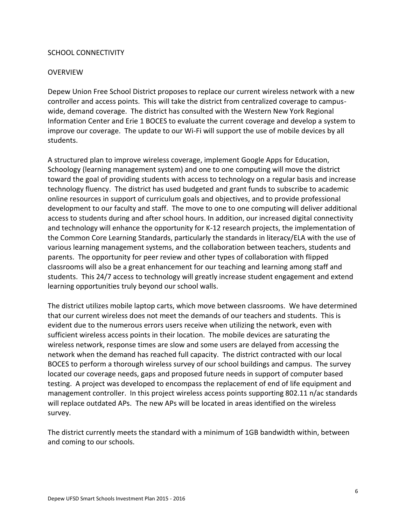#### SCHOOL CONNECTIVITY

#### **OVERVIEW**

Depew Union Free School District proposes to replace our current wireless network with a new controller and access points. This will take the district from centralized coverage to campuswide, demand coverage. The district has consulted with the Western New York Regional Information Center and Erie 1 BOCES to evaluate the current coverage and develop a system to improve our coverage. The update to our Wi-Fi will support the use of mobile devices by all students.

A structured plan to improve wireless coverage, implement Google Apps for Education, Schoology (learning management system) and one to one computing will move the district toward the goal of providing students with access to technology on a regular basis and increase technology fluency. The district has used budgeted and grant funds to subscribe to academic online resources in support of curriculum goals and objectives, and to provide professional development to our faculty and staff. The move to one to one computing will deliver additional access to students during and after school hours. In addition, our increased digital connectivity and technology will enhance the opportunity for K-12 research projects, the implementation of the Common Core Learning Standards, particularly the standards in literacy/ELA with the use of various learning management systems, and the collaboration between teachers, students and parents. The opportunity for peer review and other types of collaboration with flipped classrooms will also be a great enhancement for our teaching and learning among staff and students. This 24/7 access to technology will greatly increase student engagement and extend learning opportunities truly beyond our school walls.

The district utilizes mobile laptop carts, which move between classrooms. We have determined that our current wireless does not meet the demands of our teachers and students. This is evident due to the numerous errors users receive when utilizing the network, even with sufficient wireless access points in their location. The mobile devices are saturating the wireless network, response times are slow and some users are delayed from accessing the network when the demand has reached full capacity. The district contracted with our local BOCES to perform a thorough wireless survey of our school buildings and campus. The survey located our coverage needs, gaps and proposed future needs in support of computer based testing. A project was developed to encompass the replacement of end of life equipment and management controller. In this project wireless access points supporting 802.11 n/ac standards will replace outdated APs. The new APs will be located in areas identified on the wireless survey.

The district currently meets the standard with a minimum of 1GB bandwidth within, between and coming to our schools.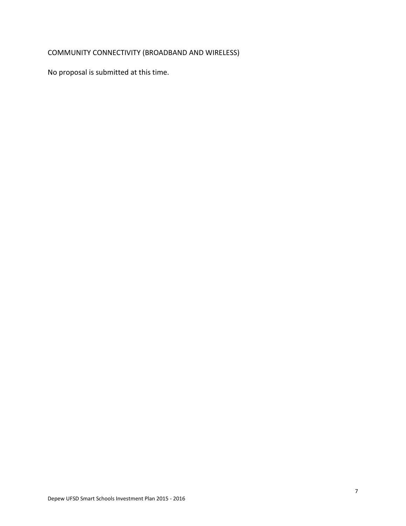# COMMUNITY CONNECTIVITY (BROADBAND AND WIRELESS)

No proposal is submitted at this time.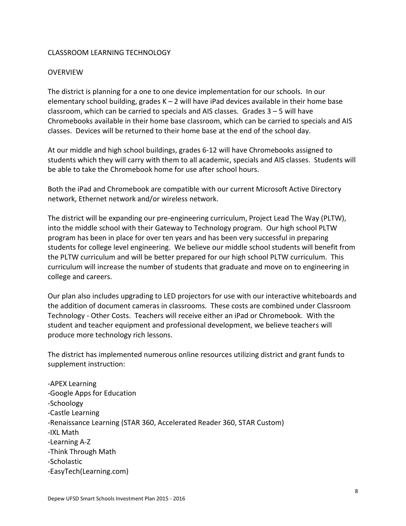#### CLASSROOM LEARNING TECHNOLOGY

#### **OVERVIEW**

The district is planning for a one to one device implementation for our schools. In our elementary school building, grades  $K - 2$  will have iPad devices available in their home base classroom, which can be carried to specials and AIS classes. Grades 3 – 5 will have Chromebooks available in their home base classroom, which can be carried to specials and AIS classes. Devices will be returned to their home base at the end of the school day.

At our middle and high school buildings, grades 6-12 will have Chromebooks assigned to students which they will carry with them to all academic, specials and AIS classes. Students will be able to take the Chromebook home for use after school hours.

Both the iPad and Chromebook are compatible with our current Microsoft Active Directory network, Ethernet network and/or wireless network.

The district will be expanding our pre-engineering curriculum, Project Lead The Way (PLTW), into the middle school with their Gateway to Technology program. Our high school PLTW program has been in place for over ten years and has been very successful in preparing students for college level engineering. We believe our middle school students will benefit from the PLTW curriculum and will be better prepared for our high school PLTW curriculum. This curriculum will increase the number of students that graduate and move on to engineering in college and careers.

Our plan also includes upgrading to LED projectors for use with our interactive whiteboards and the addition of document cameras in classrooms. These costs are combined under Classroom Technology - Other Costs. Teachers will receive either an iPad or Chromebook. With the student and teacher equipment and professional development, we believe teachers will produce more technology rich lessons.

The district has implemented numerous online resources utilizing district and grant funds to supplement instruction:

-APEX Learning -Google Apps for Education -Schoology -Castle Learning -Renaissance Learning (STAR 360, Accelerated Reader 360, STAR Custom) -IXL Math -Learning A-Z -Think Through Math -Scholastic -EasyTech(Learning.com)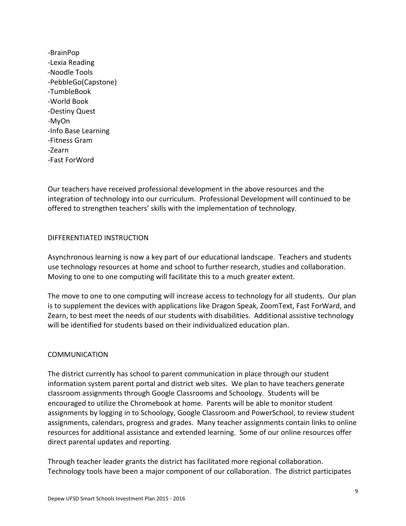-BrainPop -Lexia Reading -Noodle Tools -PebbleGo(Capstone) -TumbleBook -World Book -Destiny Quest -MyOn -Info Base Learning -Fitness Gram -Zearn -Fast ForWord

Our teachers have received professional development in the above resources and the integration of technology into our curriculum. Professional Development will continued to be offered to strengthen teachers' skills with the implementation of technology.

#### DIFFERENTIATED INSTRUCTION

Asynchronous learning is now a key part of our educational landscape. Teachers and students use technology resources at home and school to further research, studies and collaboration. Moving to one to one computing will facilitate this to a much greater extent.

The move to one to one computing will increase access to technology for all students. Our plan is to supplement the devices with applications like Dragon Speak, ZoomText, Fast ForWard, and Zearn, to best meet the needs of our students with disabilities. Additional assistive technology will be identified for students based on their individualized education plan.

#### COMMUNICATION

The district currently has school to parent communication in place through our student information system parent portal and district web sites. We plan to have teachers generate classroom assignments through Google Classrooms and Schoology. Students will be encouraged to utilize the Chromebook at home. Parents will be able to monitor student assignments by logging in to Schoology, Google Classroom and PowerSchool, to review student assignments, calendars, progress and grades. Many teacher assignments contain links to online resources for additional assistance and extended learning. Some of our online resources offer direct parental updates and reporting.

Through teacher leader grants the district has facilitated more regional collaboration. Technology tools have been a major component of our collaboration. The district participates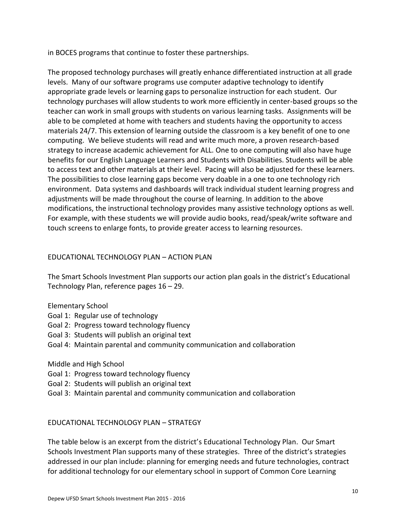in BOCES programs that continue to foster these partnerships.

The proposed technology purchases will greatly enhance differentiated instruction at all grade levels. Many of our software programs use computer adaptive technology to identify appropriate grade levels or learning gaps to personalize instruction for each student. Our technology purchases will allow students to work more efficiently in center-based groups so the teacher can work in small groups with students on various learning tasks. Assignments will be able to be completed at home with teachers and students having the opportunity to access materials 24/7. This extension of learning outside the classroom is a key benefit of one to one computing. We believe students will read and write much more, a proven research-based strategy to increase academic achievement for ALL. One to one computing will also have huge benefits for our English Language Learners and Students with Disabilities. Students will be able to access text and other materials at their level. Pacing will also be adjusted for these learners. The possibilities to close learning gaps become very doable in a one to one technology rich environment. Data systems and dashboards will track individual student learning progress and adjustments will be made throughout the course of learning. In addition to the above modifications, the instructional technology provides many assistive technology options as well. For example, with these students we will provide audio books, read/speak/write software and touch screens to enlarge fonts, to provide greater access to learning resources.

## EDUCATIONAL TECHNOLOGY PLAN – ACTION PLAN

The Smart Schools Investment Plan supports our action plan goals in the district's Educational Technology Plan, reference pages 16 – 29.

- Elementary School
- Goal 1: Regular use of technology
- Goal 2: Progress toward technology fluency
- Goal 3: Students will publish an original text
- Goal 4: Maintain parental and community communication and collaboration

Middle and High School

- Goal 1: Progress toward technology fluency
- Goal 2: Students will publish an original text
- Goal 3: Maintain parental and community communication and collaboration

#### EDUCATIONAL TECHNOLOGY PLAN – STRATEGY

The table below is an excerpt from the district's Educational Technology Plan. Our Smart Schools Investment Plan supports many of these strategies. Three of the district's strategies addressed in our plan include: planning for emerging needs and future technologies, contract for additional technology for our elementary school in support of Common Core Learning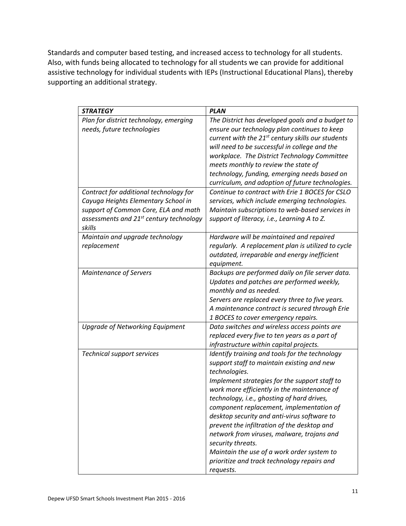Standards and computer based testing, and increased access to technology for all students. Also, with funds being allocated to technology for all students we can provide for additional assistive technology for individual students with IEPs (Instructional Educational Plans), thereby supporting an additional strategy.

| <b>STRATEGY</b>                                                                                                                                                                        | <b>PLAN</b>                                                                                                                                                                                                                                                                                                                                                                                                                                                                                                                                                                        |
|----------------------------------------------------------------------------------------------------------------------------------------------------------------------------------------|------------------------------------------------------------------------------------------------------------------------------------------------------------------------------------------------------------------------------------------------------------------------------------------------------------------------------------------------------------------------------------------------------------------------------------------------------------------------------------------------------------------------------------------------------------------------------------|
| Plan for district technology, emerging<br>needs, future technologies                                                                                                                   | The District has developed goals and a budget to<br>ensure our technology plan continues to keep<br>current with the 21 <sup>st</sup> century skills our students<br>will need to be successful in college and the<br>workplace. The District Technology Committee<br>meets monthly to review the state of<br>technology, funding, emerging needs based on<br>curriculum, and adoption of future technologies.                                                                                                                                                                     |
| Contract for additional technology for<br>Cayuga Heights Elementary School in<br>support of Common Core, ELA and math<br>assessments and 21 <sup>st</sup> century technology<br>skills | Continue to contract with Erie 1 BOCES for CSLO<br>services, which include emerging technologies.<br>Maintain subscriptions to web-based services in<br>support of literacy, i.e., Learning A to Z.                                                                                                                                                                                                                                                                                                                                                                                |
| Maintain and upgrade technology<br>replacement                                                                                                                                         | Hardware will be maintained and repaired<br>regularly. A replacement plan is utilized to cycle<br>outdated, irreparable and energy inefficient<br>equipment.                                                                                                                                                                                                                                                                                                                                                                                                                       |
| <b>Maintenance of Servers</b>                                                                                                                                                          | Backups are performed daily on file server data.<br>Updates and patches are performed weekly,<br>monthly and as needed.<br>Servers are replaced every three to five years.<br>A maintenance contract is secured through Erie<br>1 BOCES to cover emergency repairs.                                                                                                                                                                                                                                                                                                                |
| <b>Upgrade of Networking Equipment</b>                                                                                                                                                 | Data switches and wireless access points are<br>replaced every five to ten years as a part of<br>infrastructure within capital projects.                                                                                                                                                                                                                                                                                                                                                                                                                                           |
| <b>Technical support services</b>                                                                                                                                                      | Identify training and tools for the technology<br>support staff to maintain existing and new<br>technologies.<br>Implement strategies for the support staff to<br>work more efficiently in the maintenance of<br>technology, i.e., ghosting of hard drives,<br>component replacement, implementation of<br>desktop security and anti-virus software to<br>prevent the infiltration of the desktop and<br>network from viruses, malware, trojans and<br>security threats.<br>Maintain the use of a work order system to<br>prioritize and track technology repairs and<br>requests. |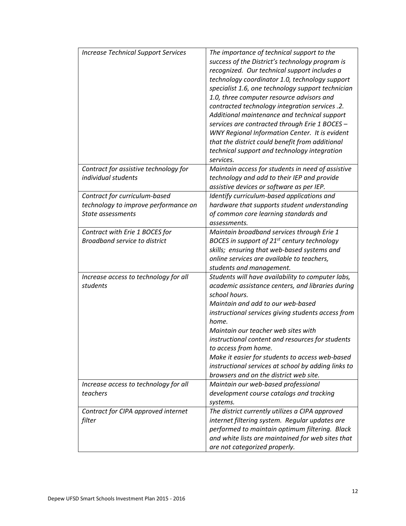| <b>Increase Technical Support Services</b>                                                 | The importance of technical support to the<br>success of the District's technology program is<br>recognized. Our technical support includes a<br>technology coordinator 1.0, technology support<br>specialist 1.6, one technology support technician<br>1.0, three computer resource advisors and<br>contracted technology integration services .2.<br>Additional maintenance and technical support<br>services are contracted through Erie 1 BOCES -<br><b>WNY Regional Information Center. It is evident</b><br>that the district could benefit from additional<br>technical support and technology integration<br>services. |
|--------------------------------------------------------------------------------------------|--------------------------------------------------------------------------------------------------------------------------------------------------------------------------------------------------------------------------------------------------------------------------------------------------------------------------------------------------------------------------------------------------------------------------------------------------------------------------------------------------------------------------------------------------------------------------------------------------------------------------------|
| Contract for assistive technology for<br>individual students                               | Maintain access for students in need of assistive<br>technology and add to their IEP and provide<br>assistive devices or software as per IEP.                                                                                                                                                                                                                                                                                                                                                                                                                                                                                  |
| Contract for curriculum-based<br>technology to improve performance on<br>State assessments | Identify curriculum-based applications and<br>hardware that supports student understanding<br>of common core learning standards and<br>assessments.                                                                                                                                                                                                                                                                                                                                                                                                                                                                            |
| Contract with Erie 1 BOCES for<br><b>Broadband service to district</b>                     | Maintain broadband services through Erie 1<br>BOCES in support of 21 <sup>st</sup> century technology<br>skills; ensuring that web-based systems and<br>online services are available to teachers,<br>students and management.                                                                                                                                                                                                                                                                                                                                                                                                 |
| Increase access to technology for all<br>students                                          | Students will have availability to computer labs,<br>academic assistance centers, and libraries during<br>school hours.<br>Maintain and add to our web-based<br>instructional services giving students access from<br>home.<br>Maintain our teacher web sites with<br>instructional content and resources for students<br>to access from home.<br>Make it easier for students to access web-based<br>instructional services at school by adding links to<br>browsers and on the district web site.                                                                                                                             |
| Increase access to technology for all<br>teachers                                          | Maintain our web-based professional<br>development course catalogs and tracking<br>systems.                                                                                                                                                                                                                                                                                                                                                                                                                                                                                                                                    |
| Contract for CIPA approved internet<br>filter                                              | The district currently utilizes a CIPA approved<br>internet filtering system. Regular updates are<br>performed to maintain optimum filtering. Black<br>and white lists are maintained for web sites that<br>are not categorized properly.                                                                                                                                                                                                                                                                                                                                                                                      |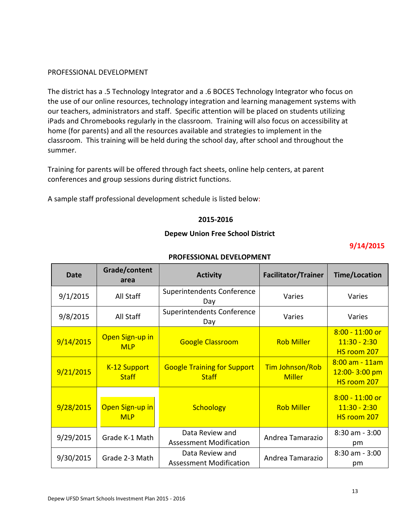#### PROFESSIONAL DEVELOPMENT

The district has a .5 Technology Integrator and a .6 BOCES Technology Integrator who focus on the use of our online resources, technology integration and learning management systems with our teachers, administrators and staff. Specific attention will be placed on students utilizing iPads and Chromebooks regularly in the classroom. Training will also focus on accessibility at home (for parents) and all the resources available and strategies to implement in the classroom. This training will be held during the school day, after school and throughout the summer.

Training for parents will be offered through fact sheets, online help centers, at parent conferences and group sessions during district functions.

A sample staff professional development schedule is listed below:

#### **2015-2016**

#### **Depew Union Free School District**

### **9/14/2015**

| Date      | Grade/content<br>area         | <b>Activity</b>                                    | <b>Facilitator/Trainer</b>              | <b>Time/Location</b>                                   |
|-----------|-------------------------------|----------------------------------------------------|-----------------------------------------|--------------------------------------------------------|
| 9/1/2015  | All Staff                     | Superintendents Conference<br>Day                  | Varies                                  | Varies                                                 |
| 9/8/2015  | All Staff                     | <b>Superintendents Conference</b><br>Day           | Varies                                  | Varies                                                 |
| 9/14/2015 | Open Sign-up in<br><b>MLP</b> | <b>Google Classroom</b>                            | <b>Rob Miller</b>                       | $8:00 - 11:00$ or<br>$11:30 - 2:30$<br>HS room 207     |
| 9/21/2015 | K-12 Support<br><b>Staff</b>  | <b>Google Training for Support</b><br><b>Staff</b> | <b>Tim Johnson/Rob</b><br><b>Miller</b> | $8:00$ am $-11$ am<br>$12:00 - 3:00$ pm<br>HS room 207 |
| 9/28/2015 | Open Sign-up in<br><b>MLP</b> | <b>Schoology</b>                                   | <b>Rob Miller</b>                       | $8:00 - 11:00$ or<br>$11:30 - 2:30$<br>HS room 207     |
| 9/29/2015 | Grade K-1 Math                | Data Review and<br>Assessment Modification         | Andrea Tamarazio                        | $8:30$ am - $3:00$<br>pm                               |
| 9/30/2015 | Grade 2-3 Math                | Data Review and<br><b>Assessment Modification</b>  | Andrea Tamarazio                        | $8:30$ am $-3:00$<br>pm                                |

#### **PROFESSIONAL DEVELOPMENT**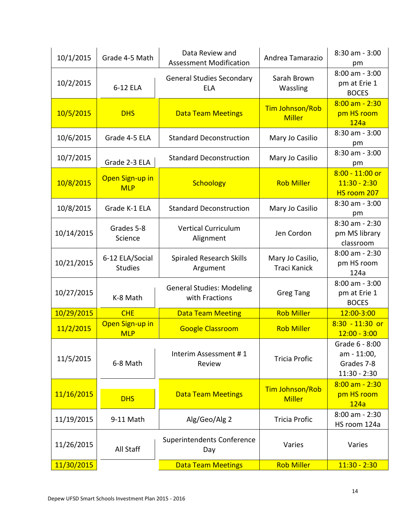| 10/1/2015  | Grade 4-5 Math                    | Data Review and<br><b>Assessment Modification</b>  | Andrea Tamarazio                        | $8:30$ am - $3:00$<br>pm                                      |
|------------|-----------------------------------|----------------------------------------------------|-----------------------------------------|---------------------------------------------------------------|
| 10/2/2015  | 6-12 ELA                          | <b>General Studies Secondary</b><br><b>ELA</b>     | Sarah Brown<br>Wassling                 | $8:00$ am - $3:00$<br>pm at Erie 1<br><b>BOCES</b>            |
| 10/5/2015  | <b>DHS</b>                        | <b>Data Team Meetings</b>                          | <b>Tim Johnson/Rob</b><br><b>Miller</b> | $8:00$ am $-2:30$<br>pm HS room<br>124a                       |
| 10/6/2015  | Grade 4-5 ELA                     | <b>Standard Deconstruction</b>                     | Mary Jo Casilio                         | $8:30$ am - $3:00$<br>pm                                      |
| 10/7/2015  | Grade 2-3 ELA                     | <b>Standard Deconstruction</b>                     | Mary Jo Casilio                         | $8:30$ am - $3:00$<br>pm                                      |
| 10/8/2015  | Open Sign-up in<br><b>MLP</b>     | <b>Schoology</b>                                   | <b>Rob Miller</b>                       | $8:00 - 11:00$ or<br>$11:30 - 2:30$<br>HS room 207            |
| 10/8/2015  | Grade K-1 ELA                     | <b>Standard Deconstruction</b>                     | Mary Jo Casilio                         | $8:30$ am - $3:00$<br>pm                                      |
| 10/14/2015 | Grades 5-8<br>Science             | <b>Vertical Curriculum</b><br>Alignment            | Jen Cordon                              | $8:30$ am - 2:30<br>pm MS library<br>classroom                |
| 10/21/2015 | 6-12 ELA/Social<br><b>Studies</b> | <b>Spiraled Research Skills</b><br>Argument        | Mary Jo Casilio,<br><b>Traci Kanick</b> | 8:00 am - 2:30<br>pm HS room<br>124a                          |
| 10/27/2015 | K-8 Math                          | <b>General Studies: Modeling</b><br>with Fractions | <b>Greg Tang</b>                        | $8:00$ am - $3:00$<br>pm at Erie 1<br><b>BOCES</b>            |
| 10/29/2015 | <b>CHE</b>                        | <b>Data Team Meeting</b>                           | <b>Rob Miller</b>                       | 12:00-3:00                                                    |
| 11/2/2015  | Open Sign-up in<br><b>MLP</b>     | <b>Google Classroom</b>                            | <b>Rob Miller</b>                       | $8:30 - 11:30$ or<br>$12:00 - 3:00$                           |
| 11/5/2015  | 6-8 Math                          | Interim Assessment #1<br>Review                    | <b>Tricia Profic</b>                    | Grade 6 - 8:00<br>am - 11:00,<br>Grades 7-8<br>$11:30 - 2:30$ |
| 11/16/2015 | <b>DHS</b>                        | <b>Data Team Meetings</b>                          | Tim Johnson/Rob<br><b>Miller</b>        | $8:00$ am $-2:30$<br>pm HS room<br>124a                       |
| 11/19/2015 | 9-11 Math                         | Alg/Geo/Alg 2                                      | <b>Tricia Profic</b>                    | 8:00 am - 2:30<br>HS room 124a                                |
| 11/26/2015 | All Staff                         | Superintendents Conference<br>Day                  | Varies                                  | Varies                                                        |
| 11/30/2015 |                                   | <b>Data Team Meetings</b>                          | <b>Rob Miller</b>                       | $11:30 - 2:30$                                                |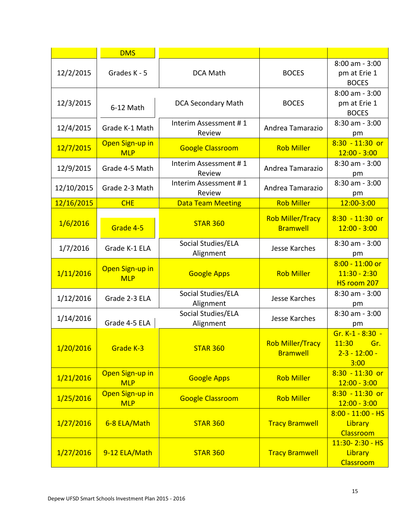|            | <b>DMS</b>                    |                                 |                                            |                                                                |
|------------|-------------------------------|---------------------------------|--------------------------------------------|----------------------------------------------------------------|
| 12/2/2015  | Grades K - 5                  | <b>DCA Math</b>                 | <b>BOCES</b>                               | $8:00$ am - $3:00$<br>pm at Erie 1<br><b>BOCES</b>             |
| 12/3/2015  | 6-12 Math                     | <b>DCA Secondary Math</b>       | <b>BOCES</b>                               | $8:00$ am - $3:00$<br>pm at Erie 1<br><b>BOCES</b>             |
| 12/4/2015  | Grade K-1 Math                | Interim Assessment #1<br>Review | Andrea Tamarazio                           | 8:30 am - 3:00<br>pm                                           |
| 12/7/2015  | Open Sign-up in<br><b>MLP</b> | <b>Google Classroom</b>         | <b>Rob Miller</b>                          | $8:30 - 11:30$ or<br>$12:00 - 3:00$                            |
| 12/9/2015  | Grade 4-5 Math                | Interim Assessment #1<br>Review | Andrea Tamarazio                           | 8:30 am - 3:00<br>pm                                           |
| 12/10/2015 | Grade 2-3 Math                | Interim Assessment #1<br>Review | Andrea Tamarazio                           | 8:30 am - 3:00<br>pm                                           |
| 12/16/2015 | <b>CHE</b>                    | <b>Data Team Meeting</b>        | <b>Rob Miller</b>                          | 12:00-3:00                                                     |
| 1/6/2016   | Grade 4-5                     | <b>STAR 360</b>                 | <b>Rob Miller/Tracy</b><br><b>Bramwell</b> | $8:30 - 11:30$ or<br>$12:00 - 3:00$                            |
| 1/7/2016   | Grade K-1 ELA                 | Social Studies/ELA<br>Alignment | Jesse Karches                              | $8:30$ am - $3:00$<br>pm                                       |
| 1/11/2016  | Open Sign-up in<br><b>MLP</b> | <b>Google Apps</b>              | <b>Rob Miller</b>                          | $8:00 - 11:00$ or<br>$11:30 - 2:30$<br>HS room 207             |
| 1/12/2016  | Grade 2-3 ELA                 | Social Studies/ELA<br>Alignment | Jesse Karches                              | 8:30 am - 3:00<br>pm                                           |
| 1/14/2016  | Grade 4-5 ELA                 | Social Studies/ELA<br>Alignment | Jesse Karches                              | 8:30 am - 3:00<br>pm                                           |
| 1/20/2016  | Grade K-3                     | <b>STAR 360</b>                 | <b>Rob Miller/Tracy</b><br><b>Bramwell</b> | Gr. K-1 - 8:30 -<br>11:30<br>⊟ Gr<br>$2 - 3 - 12:00 -$<br>3:00 |
| 1/21/2016  | Open Sign-up in<br><b>MLP</b> | <b>Google Apps</b>              | <b>Rob Miller</b>                          | $8:30 - 11:30$ or<br>$12:00 - 3:00$                            |
| 1/25/2016  | Open Sign-up in<br><b>MLP</b> | <b>Google Classroom</b>         | <b>Rob Miller</b>                          | $8:30 - 11:30$ or<br>$12:00 - 3:00$                            |
| 1/27/2016  | 6-8 ELA/Math                  | <b>STAR 360</b>                 | <b>Tracy Bramwell</b>                      | $8:00 - 11:00 - HS$<br>Library<br>Classroom                    |
| 1/27/2016  | 9-12 ELA/Math                 | <b>STAR 360</b>                 | <b>Tracy Bramwell</b>                      | 11:30-2:30 - HS<br>Library<br>Classroom                        |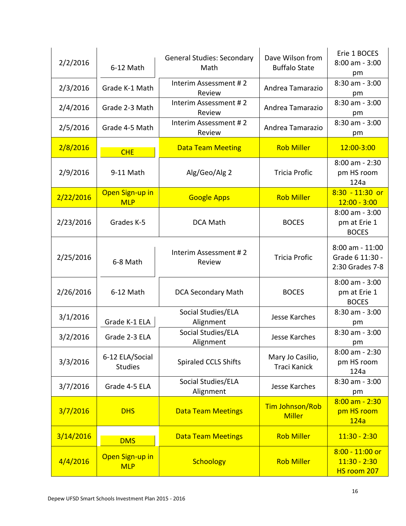| 2/2/2016  | 6-12 Math                         | <b>General Studies: Secondary</b><br>Math | Dave Wilson from<br><b>Buffalo State</b> | Erie 1 BOCES<br>$8:00$ am - $3:00$<br>pm                  |
|-----------|-----------------------------------|-------------------------------------------|------------------------------------------|-----------------------------------------------------------|
| 2/3/2016  | Grade K-1 Math                    | Interim Assessment #2<br>Review           | Andrea Tamarazio                         | 8:30 am - 3:00<br>pm                                      |
| 2/4/2016  | Grade 2-3 Math                    | Interim Assessment #2<br>Review           | Andrea Tamarazio                         | 8:30 am - 3:00<br>pm                                      |
| 2/5/2016  | Grade 4-5 Math                    | Interim Assessment #2<br>Review           | Andrea Tamarazio                         | $8:30$ am - $3:00$<br>pm                                  |
| 2/8/2016  | <b>CHE</b>                        | <b>Data Team Meeting</b>                  | <b>Rob Miller</b>                        | 12:00-3:00                                                |
| 2/9/2016  | 9-11 Math                         | Alg/Geo/Alg 2                             | <b>Tricia Profic</b>                     | $8:00$ am - 2:30<br>pm HS room<br>124a                    |
| 2/22/2016 | Open Sign-up in<br><b>MLP</b>     | <b>Google Apps</b>                        | <b>Rob Miller</b>                        | $8:30 - 11:30$ or<br>$12:00 - 3:00$                       |
| 2/23/2016 | Grades K-5                        | <b>DCA Math</b>                           | <b>BOCES</b>                             | $8:00$ am - $3:00$<br>pm at Erie 1<br><b>BOCES</b>        |
| 2/25/2016 | 6-8 Math                          | Interim Assessment #2<br>Review           | <b>Tricia Profic</b>                     | $8:00$ am - $11:00$<br>Grade 6 11:30 -<br>2:30 Grades 7-8 |
| 2/26/2016 | 6-12 Math                         | <b>DCA Secondary Math</b>                 | <b>BOCES</b>                             | 8:00 am - 3:00<br>pm at Erie 1<br><b>BOCES</b>            |
| 3/1/2016  | Grade K-1 ELA                     | Social Studies/ELA<br>Alignment           | Jesse Karches                            | $8:30$ am - $3:00$<br>pm                                  |
| 3/2/2016  | Grade 2-3 ELA                     | Social Studies/ELA<br>Alignment           | Jesse Karches                            | 8:30 am - 3:00<br>pm                                      |
| 3/3/2016  | 6-12 ELA/Social<br><b>Studies</b> | <b>Spiraled CCLS Shifts</b>               | Mary Jo Casilio,<br><b>Traci Kanick</b>  | 8:00 am - 2:30<br>pm HS room<br>124a                      |
| 3/7/2016  | Grade 4-5 ELA                     | Social Studies/ELA<br>Alignment           | Jesse Karches                            | $8:30$ am - $3:00$<br>pm                                  |
| 3/7/2016  | <b>DHS</b>                        | <b>Data Team Meetings</b>                 | Tim Johnson/Rob<br><b>Miller</b>         | $8:00$ am - 2:30<br>pm HS room<br>124a                    |
| 3/14/2016 | <b>DMS</b>                        | <b>Data Team Meetings</b>                 | <b>Rob Miller</b>                        | $11:30 - 2:30$                                            |
| 4/4/2016  | Open Sign-up in<br><b>MLP</b>     | <b>Schoology</b>                          | <b>Rob Miller</b>                        | $8:00 - 11:00$ or<br>$11:30 - 2:30$<br>HS room 207        |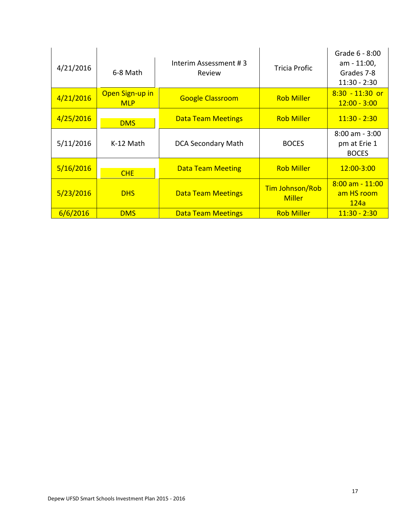| 4/21/2016 | 6-8 Math                      | Interim Assessment #3<br>Review | <b>Tricia Profic</b>                    | Grade 6 - 8:00<br>am - 11:00,<br>Grades 7-8<br>$11:30 - 2:30$ |
|-----------|-------------------------------|---------------------------------|-----------------------------------------|---------------------------------------------------------------|
| 4/21/2016 | Open Sign-up in<br><b>MLP</b> | <b>Google Classroom</b>         | <b>Rob Miller</b>                       | $8:30 - 11:30$ or<br>$12:00 - 3:00$                           |
| 4/25/2016 | <b>DMS</b>                    | <b>Data Team Meetings</b>       | <b>Rob Miller</b>                       | $11:30 - 2:30$                                                |
| 5/11/2016 | K-12 Math                     | <b>DCA Secondary Math</b>       | <b>BOCES</b>                            | $8:00$ am - $3:00$<br>pm at Erie 1<br><b>BOCES</b>            |
| 5/16/2016 | <b>CHE</b>                    | <b>Data Team Meeting</b>        | <b>Rob Miller</b>                       | 12:00-3:00                                                    |
| 5/23/2016 | <b>DHS</b>                    | <b>Data Team Meetings</b>       | <b>Tim Johnson/Rob</b><br><b>Miller</b> | $8:00$ am $-11:00$<br>am HS room<br>124a                      |
| 6/6/2016  | <b>DMS</b>                    | <b>Data Team Meetings</b>       | <b>Rob Miller</b>                       | $11:30 - 2:30$                                                |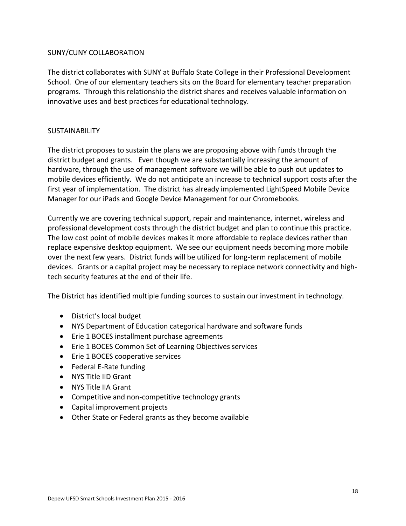#### SUNY/CUNY COLLABORATION

The district collaborates with SUNY at Buffalo State College in their Professional Development School. One of our elementary teachers sits on the Board for elementary teacher preparation programs. Through this relationship the district shares and receives valuable information on innovative uses and best practices for educational technology.

#### SUSTAINABILITY

The district proposes to sustain the plans we are proposing above with funds through the district budget and grants. Even though we are substantially increasing the amount of hardware, through the use of management software we will be able to push out updates to mobile devices efficiently. We do not anticipate an increase to technical support costs after the first year of implementation. The district has already implemented LightSpeed Mobile Device Manager for our iPads and Google Device Management for our Chromebooks.

Currently we are covering technical support, repair and maintenance, internet, wireless and professional development costs through the district budget and plan to continue this practice. The low cost point of mobile devices makes it more affordable to replace devices rather than replace expensive desktop equipment. We see our equipment needs becoming more mobile over the next few years. District funds will be utilized for long-term replacement of mobile devices. Grants or a capital project may be necessary to replace network connectivity and hightech security features at the end of their life.

The District has identified multiple funding sources to sustain our investment in technology.

- District's local budget
- NYS Department of Education categorical hardware and software funds
- Erie 1 BOCES installment purchase agreements
- Erie 1 BOCES Common Set of Learning Objectives services
- Erie 1 BOCES cooperative services
- Federal E-Rate funding
- NYS Title IID Grant
- NYS Title IIA Grant
- Competitive and non-competitive technology grants
- Capital improvement projects
- Other State or Federal grants as they become available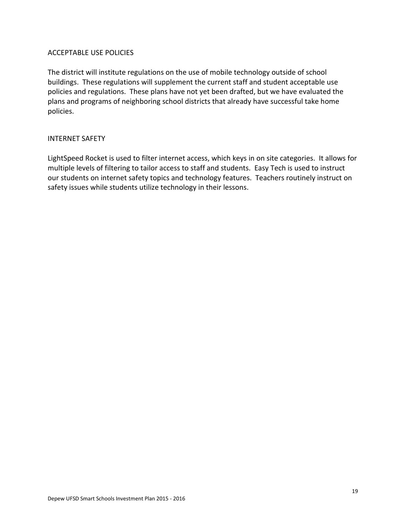#### ACCEPTABLE USE POLICIES

The district will institute regulations on the use of mobile technology outside of school buildings. These regulations will supplement the current staff and student acceptable use policies and regulations. These plans have not yet been drafted, but we have evaluated the plans and programs of neighboring school districts that already have successful take home policies.

#### INTERNET SAFETY

LightSpeed Rocket is used to filter internet access, which keys in on site categories. It allows for multiple levels of filtering to tailor access to staff and students. Easy Tech is used to instruct our students on internet safety topics and technology features. Teachers routinely instruct on safety issues while students utilize technology in their lessons.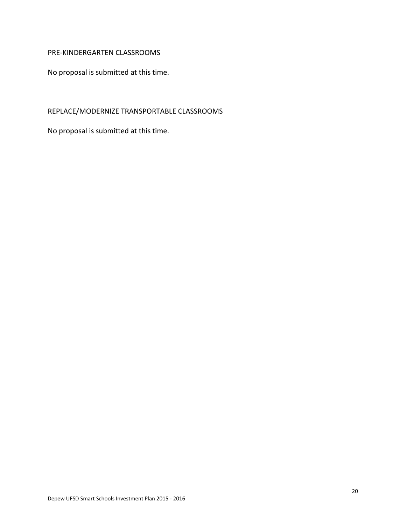#### PRE-KINDERGARTEN CLASSROOMS

No proposal is submitted at this time.

# REPLACE/MODERNIZE TRANSPORTABLE CLASSROOMS

No proposal is submitted at this time.